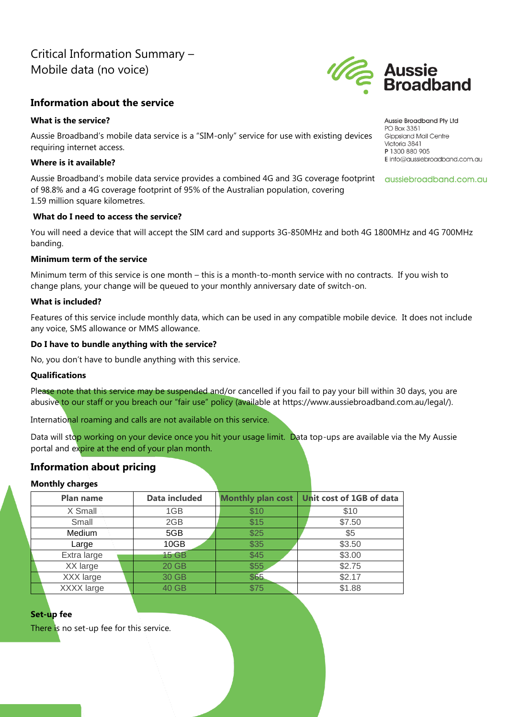# Critical Information Summary – Mobile data (no voice)

# **Information about the service**

#### **What is the service?**

Aussie Broadband's mobile data service is a "SIM-only" service for use with existing devices requiring internet access.

## **Where is it available?**

Aussie Broadband's mobile data service provides a combined 4G and 3G coverage footprint of 98.8% and a 4G coverage footprint of 95% of the Australian population, covering 1.59 million square kilometres.

#### **What do I need to access the service?**

You will need a device that will accept the SIM card and supports 3G-850MHz and both 4G 1800MHz and 4G 700MHz banding.

#### **Minimum term of the service**

Minimum term of this service is one month – this is a month-to-month service with no contracts. If you wish to change plans, your change will be queued to your monthly anniversary date of switch-on.

#### **What is included?**

Features of this service include monthly data, which can be used in any compatible mobile device. It does not include any voice, SMS allowance or MMS allowance.

#### **Do I have to bundle anything with the service?**

No, you don't have to bundle anything with this service.

#### **Qualifications**

Please note that this service may be suspended and/or cancelled if you fail to pay your bill within 30 days, you are abusive to our staff or you breach our "fair use" policy (available at https://www.aussiebroadband.com.au/legal/).

International roaming and calls are not available on this service.

Data will stop working on your device once you hit your usage limit. Data top-ups are available via the My Aussie portal and expire at the end of your plan month.

# **Information about pricing**

#### **Monthly charges**

| <b>Plan name</b> | <b>Data included</b> | <b>Monthly plan cost</b> | Unit cost of 1GB of data |
|------------------|----------------------|--------------------------|--------------------------|
| X Small          | 1GB                  | \$10                     | \$10                     |
| Small            | 2GB                  | \$15                     | \$7.50                   |
| Medium           | 5GB                  | \$25                     | \$5                      |
| Large            | 10GB                 | \$35                     | \$3.50                   |
| Extra large      | 15 GB                | \$45                     | \$3.00                   |
| XX large         | 20 GB                | \$55                     | \$2.75                   |
| XXX large        | 30 GB                | \$65                     | \$2.17                   |
| XXXX large       | 40 GB                | \$75                     | \$1.88                   |
|                  |                      |                          |                          |

## **Set-up fee**

There is no set-up fee for this service.

Aussie Broadband Pty Ltd PO Box 3351 **Gippsland Mail Centre** Victoria 3841 P 1300 880 905 E info@aussiebroadband.com.au